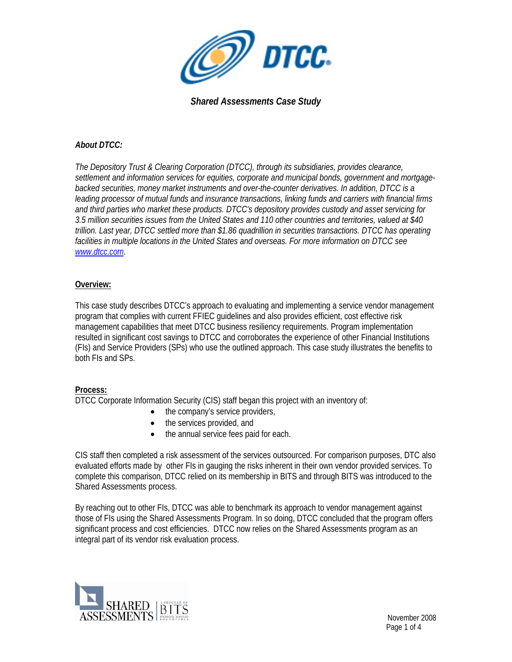

## *About DTCC:*

*The Depository Trust & Clearing Corporation (DTCC), through its subsidiaries, provides clearance, settlement and information services for equities, corporate and municipal bonds, government and mortgagebacked securities, money market instruments and over-the-counter derivatives. In addition, DTCC is a leading processor of mutual funds and insurance transactions, linking funds and carriers with financial firms and third parties who market these products. DTCC's depository provides custody and asset servicing for 3.5 million securities issues from the United States and 110 other countries and territories, valued at \$40 trillion. Last year, DTCC settled more than \$1.86 quadrillion in securities transactions. DTCC has operating facilities in multiple locations in the United States and overseas. For more information on DTCC see www.dtcc.com.* 

## **Overview:**

This case study describes DTCC's approach to evaluating and implementing a service vendor management program that complies with current FFIEC guidelines and also provides efficient, cost effective risk management capabilities that meet DTCC business resiliency requirements. Program implementation resulted in significant cost savings to DTCC and corroborates the experience of other Financial Institutions (FIs) and Service Providers (SPs) who use the outlined approach. This case study illustrates the benefits to both FIs and SPs.

## **Process:**

DTCC Corporate Information Security (CIS) staff began this project with an inventory of:

- the company's service providers,
- the services provided, and
- the annual service fees paid for each.

CIS staff then completed a risk assessment of the services outsourced. For comparison purposes, DTC also evaluated efforts made by other FIs in gauging the risks inherent in their own vendor provided services. To complete this comparison, DTCC relied on its membership in BITS and through BITS was introduced to the Shared Assessments process.

By reaching out to other FIs, DTCC was able to benchmark its approach to vendor management against those of FIs using the Shared Assessments Program. In so doing, DTCC concluded that the program offers significant process and cost efficiencies. DTCC now relies on the Shared Assessments program as an integral part of its vendor risk evaluation process.

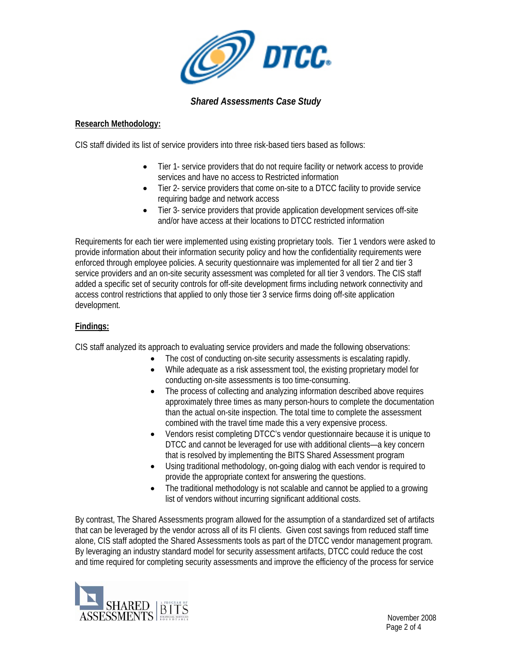

#### **Research Methodology:**

CIS staff divided its list of service providers into three risk-based tiers based as follows:

- Tier 1- service providers that do not require facility or network access to provide services and have no access to Restricted information
- Tier 2- service providers that come on-site to a DTCC facility to provide service requiring badge and network access
- Tier 3- service providers that provide application development services off-site and/or have access at their locations to DTCC restricted information

Requirements for each tier were implemented using existing proprietary tools. Tier 1 vendors were asked to provide information about their information security policy and how the confidentiality requirements were enforced through employee policies. A security questionnaire was implemented for all tier 2 and tier 3 service providers and an on-site security assessment was completed for all tier 3 vendors. The CIS staff added a specific set of security controls for off-site development firms including network connectivity and access control restrictions that applied to only those tier 3 service firms doing off-site application development.

## **Findings:**

CIS staff analyzed its approach to evaluating service providers and made the following observations:

- The cost of conducting on-site security assessments is escalating rapidly.
- While adequate as a risk assessment tool, the existing proprietary model for conducting on-site assessments is too time-consuming.
- The process of collecting and analyzing information described above requires approximately three times as many person-hours to complete the documentation than the actual on-site inspection. The total time to complete the assessment combined with the travel time made this a very expensive process.
- Vendors resist completing DTCC's vendor questionnaire because it is unique to DTCC and cannot be leveraged for use with additional clients—a key concern that is resolved by implementing the BITS Shared Assessment program
- Using traditional methodology, on-going dialog with each vendor is required to provide the appropriate context for answering the questions.
- The traditional methodology is not scalable and cannot be applied to a growing list of vendors without incurring significant additional costs.

By contrast, The Shared Assessments program allowed for the assumption of a standardized set of artifacts that can be leveraged by the vendor across all of its FI clients. Given cost savings from reduced staff time alone, CIS staff adopted the Shared Assessments tools as part of the DTCC vendor management program. By leveraging an industry standard model for security assessment artifacts, DTCC could reduce the cost and time required for completing security assessments and improve the efficiency of the process for service

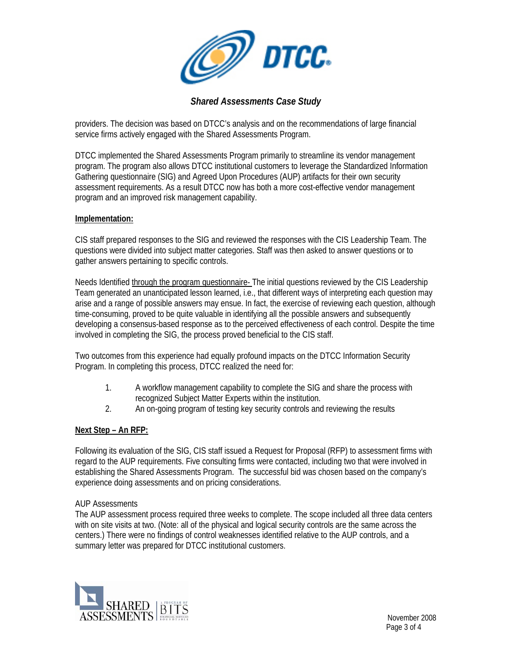

providers. The decision was based on DTCC's analysis and on the recommendations of large financial service firms actively engaged with the Shared Assessments Program.

DTCC implemented the Shared Assessments Program primarily to streamline its vendor management program. The program also allows DTCC institutional customers to leverage the Standardized Information Gathering questionnaire (SIG) and Agreed Upon Procedures (AUP) artifacts for their own security assessment requirements. As a result DTCC now has both a more cost-effective vendor management program and an improved risk management capability.

#### **Implementation:**

CIS staff prepared responses to the SIG and reviewed the responses with the CIS Leadership Team. The questions were divided into subject matter categories. Staff was then asked to answer questions or to gather answers pertaining to specific controls.

Needs Identified through the program questionnaire- The initial questions reviewed by the CIS Leadership Team generated an unanticipated lesson learned, i.e., that different ways of interpreting each question may arise and a range of possible answers may ensue. In fact, the exercise of reviewing each question, although time-consuming, proved to be quite valuable in identifying all the possible answers and subsequently developing a consensus-based response as to the perceived effectiveness of each control. Despite the time involved in completing the SIG, the process proved beneficial to the CIS staff.

Two outcomes from this experience had equally profound impacts on the DTCC Information Security Program. In completing this process, DTCC realized the need for:

- 1. A workflow management capability to complete the SIG and share the process with recognized Subject Matter Experts within the institution.
- 2. An on-going program of testing key security controls and reviewing the results

## **Next Step – An RFP:**

Following its evaluation of the SIG, CIS staff issued a Request for Proposal (RFP) to assessment firms with regard to the AUP requirements. Five consulting firms were contacted, including two that were involved in establishing the Shared Assessments Program. The successful bid was chosen based on the company's experience doing assessments and on pricing considerations.

#### AUP Assessments

The AUP assessment process required three weeks to complete. The scope included all three data centers with on site visits at two. (Note: all of the physical and logical security controls are the same across the centers.) There were no findings of control weaknesses identified relative to the AUP controls, and a summary letter was prepared for DTCC institutional customers.